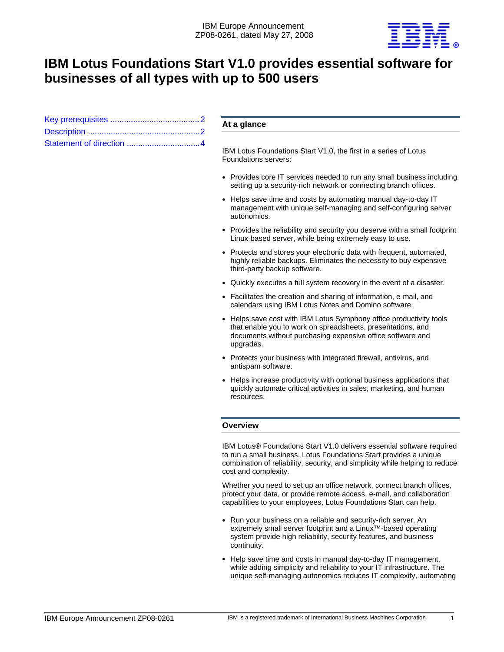

# **IBM Lotus Foundations Start V1.0 provides essential software for businesses of all types with up to 500 users**

## **At a glance**

IBM Lotus Foundations Start V1.0, the first in a series of Lotus Foundations servers:

- Provides core IT services needed to run any small business including setting up a security-rich network or connecting branch offices.
- Helps save time and costs by automating manual day-to-day IT management with unique self-managing and self-configuring server autonomics.
- Provides the reliability and security you deserve with a small footprint Linux-based server, while being extremely easy to use.
- Protects and stores your electronic data with frequent, automated, highly reliable backups. Eliminates the necessity to buy expensive third-party backup software.
- Quickly executes a full system recovery in the event of a disaster.
- Facilitates the creation and sharing of information, e-mail, and calendars using IBM Lotus Notes and Domino software.
- Helps save cost with IBM Lotus Symphony office productivity tools that enable you to work on spreadsheets, presentations, and documents without purchasing expensive office software and upgrades.
- Protects your business with integrated firewall, antivirus, and antispam software.
- Helps increase productivity with optional business applications that quickly automate critical activities in sales, marketing, and human resources.

## **Overview**

IBM Lotus® Foundations Start V1.0 delivers essential software required to run a small business. Lotus Foundations Start provides a unique combination of reliability, security, and simplicity while helping to reduce cost and complexity.

Whether you need to set up an office network, connect branch offices, protect your data, or provide remote access, e-mail, and collaboration capabilities to your employees, Lotus Foundations Start can help.

- Run your business on a reliable and security-rich server. An extremely small server footprint and a Linux™-based operating system provide high reliability, security features, and business continuity.
- Help save time and costs in manual day-to-day IT management, while adding simplicity and reliability to your IT infrastructure. The unique self-managing autonomics reduces IT complexity, automating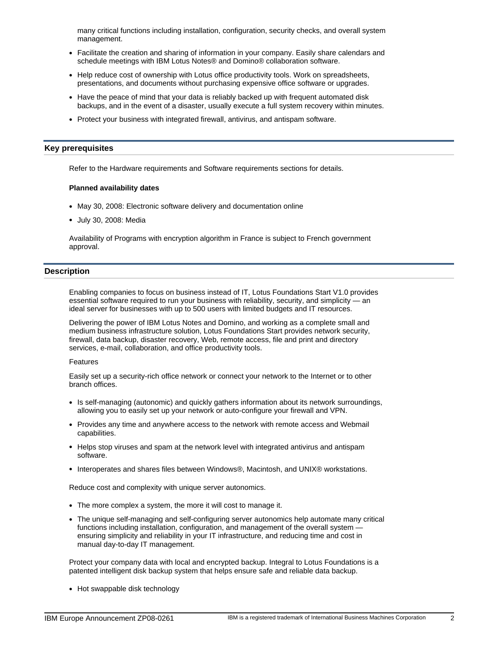many critical functions including installation, configuration, security checks, and overall system management.

- Facilitate the creation and sharing of information in your company. Easily share calendars and schedule meetings with IBM Lotus Notes® and Domino® collaboration software.
- Help reduce cost of ownership with Lotus office productivity tools. Work on spreadsheets, presentations, and documents without purchasing expensive office software or upgrades.
- Have the peace of mind that your data is reliably backed up with frequent automated disk backups, and in the event of a disaster, usually execute a full system recovery within minutes.
- Protect your business with integrated firewall, antivirus, and antispam software.

### <span id="page-1-0"></span>**Key prerequisites**

Refer to the Hardware requirements and Software requirements sections for details.

#### **Planned availability dates**

- May 30, 2008: Electronic software delivery and documentation online
- July 30, 2008: Media

Availability of Programs with encryption algorithm in France is subject to French government approval.

## <span id="page-1-1"></span>**Description**

Enabling companies to focus on business instead of IT, Lotus Foundations Start V1.0 provides essential software required to run your business with reliability, security, and simplicity — an ideal server for businesses with up to 500 users with limited budgets and IT resources.

Delivering the power of IBM Lotus Notes and Domino, and working as a complete small and medium business infrastructure solution, Lotus Foundations Start provides network security, firewall, data backup, disaster recovery, Web, remote access, file and print and directory services, e-mail, collaboration, and office productivity tools.

#### Features

Easily set up a security-rich office network or connect your network to the Internet or to other branch offices.

- Is self-managing (autonomic) and quickly gathers information about its network surroundings, allowing you to easily set up your network or auto-configure your firewall and VPN.
- Provides any time and anywhere access to the network with remote access and Webmail capabilities.
- Helps stop viruses and spam at the network level with integrated antivirus and antispam software.
- Interoperates and shares files between Windows®, Macintosh, and UNIX® workstations.

Reduce cost and complexity with unique server autonomics.

- The more complex a system, the more it will cost to manage it.
- The unique self-managing and self-configuring server autonomics help automate many critical functions including installation, configuration, and management of the overall system ensuring simplicity and reliability in your IT infrastructure, and reducing time and cost in manual day-to-day IT management.

Protect your company data with local and encrypted backup. Integral to Lotus Foundations is a patented intelligent disk backup system that helps ensure safe and reliable data backup.

• Hot swappable disk technology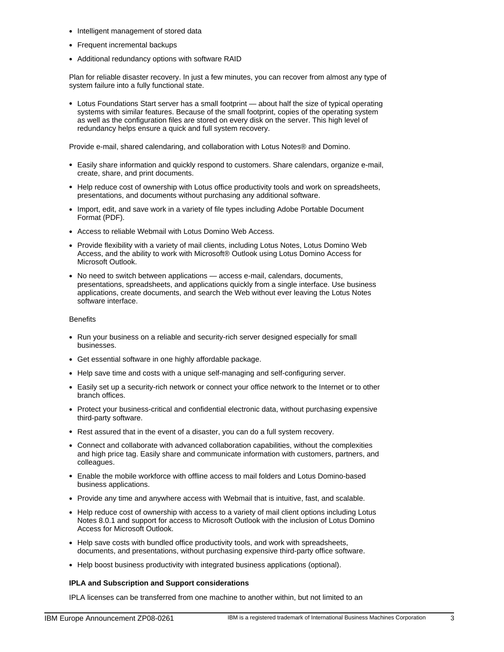- Intelligent management of stored data
- Frequent incremental backups
- Additional redundancy options with software RAID

Plan for reliable disaster recovery. In just a few minutes, you can recover from almost any type of system failure into a fully functional state.

• Lotus Foundations Start server has a small footprint — about half the size of typical operating systems with similar features. Because of the small footprint, copies of the operating system as well as the configuration files are stored on every disk on the server. This high level of redundancy helps ensure a quick and full system recovery.

Provide e-mail, shared calendaring, and collaboration with Lotus Notes® and Domino.

- Easily share information and quickly respond to customers. Share calendars, organize e-mail, create, share, and print documents.
- Help reduce cost of ownership with Lotus office productivity tools and work on spreadsheets, presentations, and documents without purchasing any additional software.
- Import, edit, and save work in a variety of file types including Adobe Portable Document Format (PDF).
- Access to reliable Webmail with Lotus Domino Web Access.
- Provide flexibility with a variety of mail clients, including Lotus Notes, Lotus Domino Web Access, and the ability to work with Microsoft® Outlook using Lotus Domino Access for Microsoft Outlook.
- No need to switch between applications access e-mail, calendars, documents, presentations, spreadsheets, and applications quickly from a single interface. Use business applications, create documents, and search the Web without ever leaving the Lotus Notes software interface.

### **Benefits**

- Run your business on a reliable and security-rich server designed especially for small businesses.
- Get essential software in one highly affordable package.
- Help save time and costs with a unique self-managing and self-configuring server.
- Easily set up a security-rich network or connect your office network to the Internet or to other branch offices.
- Protect your business-critical and confidential electronic data, without purchasing expensive third-party software.
- Rest assured that in the event of a disaster, you can do a full system recovery.
- Connect and collaborate with advanced collaboration capabilities, without the complexities and high price tag. Easily share and communicate information with customers, partners, and colleagues.
- Enable the mobile workforce with offline access to mail folders and Lotus Domino-based business applications.
- Provide any time and anywhere access with Webmail that is intuitive, fast, and scalable.
- Help reduce cost of ownership with access to a variety of mail client options including Lotus Notes 8.0.1 and support for access to Microsoft Outlook with the inclusion of Lotus Domino Access for Microsoft Outlook.
- Help save costs with bundled office productivity tools, and work with spreadsheets, documents, and presentations, without purchasing expensive third-party office software.
- Help boost business productivity with integrated business applications (optional).

## **IPLA and Subscription and Support considerations**

IPLA licenses can be transferred from one machine to another within, but not limited to an